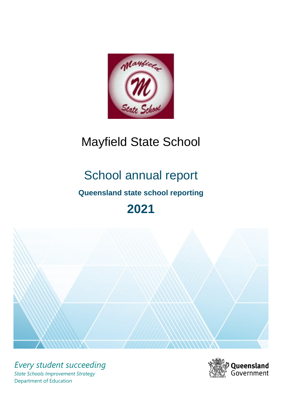

# Mayfield State School

# School annual report **Queensland state school reporting 2021**



*Every student succeeding State Schools Improvement Strategy* Department of Education

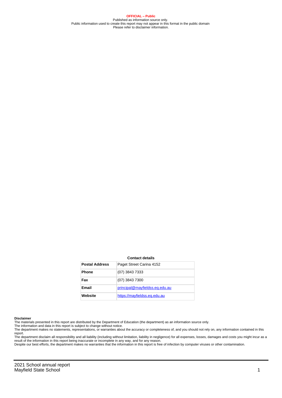**OFFICIAL – Public** Published as information source only. Public information used to create this report may not appear in this format in the public domain Please refer to disclaimer information.

#### **Contact details**

| <b>Postal Address</b> | Paget Street Carina 4152       |
|-----------------------|--------------------------------|
| <b>Phone</b>          | (07) 3843 7333                 |
| Fax                   | (07) 3843 7300                 |
| Email                 | principal@mayfieldss.eq.edu.au |
| Website               | https://mayfieldss.eg.edu.au   |

#### **Disclaimer**

The materials presented in this report are distributed by the Department of Education (the department) as an information source only.

The information and data in this report is subject to change without notice.<br>The department makes no statements, representations, or warranties about the accuracy or completeness of, and you should not rely on, any informa report. The department disclaim all responsibility and all liability (including without limitation, liability in negligence) for all expenses, losses, damages and costs you might incur as a

result of the information in this report being inaccurate or incomplete in any way, and for any reason.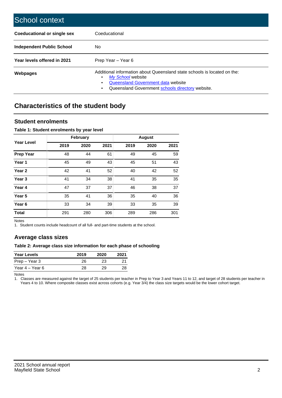| School context                   |                                                                                                                                                                                              |
|----------------------------------|----------------------------------------------------------------------------------------------------------------------------------------------------------------------------------------------|
| Coeducational or single sex      | Coeducational                                                                                                                                                                                |
| <b>Independent Public School</b> | No.                                                                                                                                                                                          |
| Year levels offered in 2021      | Prep Year - Year 6                                                                                                                                                                           |
| Webpages                         | Additional information about Queensland state schools is located on the:<br>My School website<br>Queensland Government data website<br>Queensland Government schools directory website.<br>٠ |

# **Characteristics of the student body**

### **Student enrolments**

### **Table 1: Student enrolments by year level**

|                   |      | <b>February</b> |      |      | <b>August</b> |      |
|-------------------|------|-----------------|------|------|---------------|------|
| <b>Year Level</b> | 2019 | 2020            | 2021 | 2019 | 2020          | 2021 |
| <b>Prep Year</b>  | 48   | 44              | 61   | 49   | 45            | 59   |
| Year 1            | 45   | 49              | 43   | 45   | 51            | 43   |
| Year 2            | 42   | 41              | 52   | 40   | 42            | 52   |
| Year <sub>3</sub> | 41   | 34              | 38   | 41   | 35            | 35   |
| Year 4            | 47   | 37              | 37   | 46   | 38            | 37   |
| Year <sub>5</sub> | 35   | 41              | 36   | 35   | 40            | 36   |
| Year <sub>6</sub> | 33   | 34              | 39   | 33   | 35            | 39   |
| <b>Total</b>      | 291  | 280             | 306  | 289  | 286           | 301  |

Notes

1. Student counts include headcount of all full- and part-time students at the school.

# **Average class sizes**

### **Table 2: Average class size information for each phase of schooling**

| <b>Year Levels</b> | 2019 | 2020 | 2021 |
|--------------------|------|------|------|
| Prep – Year 3      | 26   | 23   | 21   |
| Year 4 – Year 6    | 28   | 29   | 28   |

Notes

1. Classes are measured against the target of 25 students per teacher in Prep to Year 3 and Years 11 to 12, and target of 28 students per teacher in Years 4 to 10. Where composite classes exist across cohorts (e.g. Year 3/4) the class size targets would be the lower cohort target.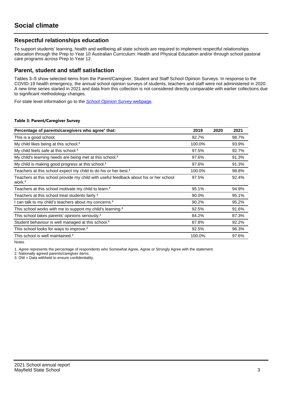### **Respectful relationships education**

To support students' learning, health and wellbeing all state schools are required to implement respectful relationships education through the Prep to Year 10 Australian Curriculum: Health and Physical Education and/or through school pastoral care programs across Prep to Year 12.

### **Parent, student and staff satisfaction**

Tables 3–5 show selected items from the Parent/Caregiver, Student and Staff School Opinion Surveys. In response to the COVID-19 health emergency, the annual school opinion surveys of students, teachers and staff were not administered in 2020. A new time series started in 2021 and data from this collection is not considered directly comparable with earlier collections due to significant methodology changes.

For state level information go to the **[School Opinion Survey](https://qed.qld.gov.au/publications/reports/statistics/schooling/schools/schoolopinionsurvey) webpage**.

### **Table 3: Parent/Caregiver Survey**

| Percentage of parents/caregivers who agree <sup>1</sup> that:                                               | 2019   | 2020 | 2021  |
|-------------------------------------------------------------------------------------------------------------|--------|------|-------|
| This is a good school.                                                                                      | 92.7%  |      | 98.7% |
| My child likes being at this school. <sup>2</sup>                                                           | 100.0% |      | 93.9% |
| My child feels safe at this school. <sup>2</sup>                                                            | 97.5%  |      | 92.7% |
| My child's learning needs are being met at this school. <sup>2</sup>                                        | 97.6%  |      | 91.3% |
| My child is making good progress at this school. <sup>2</sup>                                               | 97.6%  |      | 91.3% |
| Teachers at this school expect my child to do his or her best. <sup>2</sup>                                 | 100.0% |      | 98.8% |
| Teachers at this school provide my child with useful feedback about his or her school<br>work. <sup>2</sup> | 97.5%  |      | 92.4% |
| Teachers at this school motivate my child to learn. <sup>2</sup>                                            | 95.1%  |      | 94.9% |
| Teachers at this school treat students fairly. <sup>2</sup>                                                 | 90.0%  |      | 95.1% |
| I can talk to my child's teachers about my concerns. <sup>2</sup>                                           | 90.2%  |      | 95.2% |
| This school works with me to support my child's learning. <sup>2</sup>                                      | 92.5%  |      | 91.6% |
| This school takes parents' opinions seriously. <sup>2</sup>                                                 | 84.2%  |      | 87.3% |
| Student behaviour is well managed at this school. <sup>2</sup>                                              | 87.8%  |      | 92.2% |
| This school looks for ways to improve. <sup>2</sup>                                                         | 92.5%  |      | 96.3% |
| This school is well maintained. <sup>2</sup>                                                                | 100.0% |      | 97.6% |

Notes

1. Agree represents the percentage of respondents who Somewhat Agree, Agree or Strongly Agree with the statement.

2. Nationally agreed parents/caregiver items.

3. DW = Data withheld to ensure confidentiality.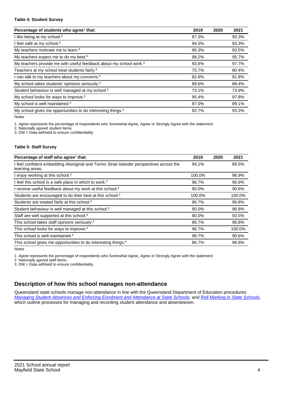### **Table 4: Student Survey**

| Percentage of students who agree <sup>1</sup> that:                            | 2019  | 2020 | 2021  |
|--------------------------------------------------------------------------------|-------|------|-------|
| I like being at my school. <sup>2</sup>                                        | 87.3% |      | 93.3% |
| I feel safe at my school. <sup>2</sup>                                         | 94.5% |      | 93.3% |
| My teachers motivate me to learn. <sup>2</sup>                                 | 96.3% |      | 93.5% |
| My teachers expect me to do my best. <sup>2</sup>                              | 98.2% |      | 95.7% |
| My teachers provide me with useful feedback about my school work. <sup>2</sup> | 93.6% |      | 97.7% |
| Teachers at my school treat students fairly. <sup>2</sup>                      | 75.7% |      | 80.4% |
| I can talk to my teachers about my concerns. <sup>2</sup>                      | 82.6% |      | 81.8% |
| My school takes students' opinions seriously. <sup>2</sup>                     | 88.6% |      | 88.4% |
| Student behaviour is well managed at my school. <sup>2</sup>                   | 73.1% |      | 73.9% |
| My school looks for ways to improve. <sup>2</sup>                              | 95.4% |      | 97.8% |
| My school is well maintained. <sup>2</sup>                                     | 87.0% |      | 89.1% |
| My school gives me opportunities to do interesting things. <sup>2</sup>        | 92.7% |      | 93.3% |

Notes

1. Agree represents the percentage of respondents who Somewhat Agree, Agree or Strongly Agree with the statement.

2. Nationally agreed student items.

3. DW = Data withheld to ensure confidentiality.

### **Table 5: Staff Survey**

| Percentage of staff who agree <sup>1</sup> that:                                                            | 2019   | 2020 | 2021   |
|-------------------------------------------------------------------------------------------------------------|--------|------|--------|
| I feel confident embedding Aboriginal and Torres Strait Islander perspectives across the<br>learning areas. | 94.1%  |      | 89.5%  |
| I enjoy working at this school. <sup>2</sup>                                                                | 100.0% |      | 96.9%  |
| I feel this school is a safe place in which to work. <sup>2</sup>                                           | 96.7%  |      | 96.9%  |
| I receive useful feedback about my work at this school. <sup>2</sup>                                        | 90.0%  |      | 90.6%  |
| Students are encouraged to do their best at this school. <sup>2</sup>                                       | 100.0% |      | 100.0% |
| Students are treated fairly at this school. <sup>2</sup>                                                    | 96.7%  |      | 96.8%  |
| Student behaviour is well managed at this school. <sup>2</sup>                                              | 90.0%  |      | 96.8%  |
| Staff are well supported at this school. <sup>2</sup>                                                       | 80.0%  |      | 93.5%  |
| This school takes staff opinions seriously. <sup>2</sup>                                                    | 86.7%  |      | 96.8%  |
| This school looks for ways to improve. <sup>2</sup>                                                         | 96.7%  |      | 100.0% |
| This school is well maintained. <sup>2</sup>                                                                | 96.7%  |      | 90.6%  |
| This school gives me opportunities to do interesting things. <sup>2</sup>                                   | 86.7%  |      | 96.8%  |

Notes

1. Agree represents the percentage of respondents who Somewhat Agree, Agree or Strongly Agree with the statement.

2. Nationally agreed staff items.

3. DW = Data withheld to ensure confidentiality.

## **Description of how this school manages non-attendance**

Queensland state schools manage non-attendance in line with the Queensland Department of Education procedures: [Managing Student Absences and Enforcing Enrolment and Attendance at State Schools](https://ppr.qed.qld.gov.au/pp/managing-student-absences-and-enforcing-enrolment-and-attendance-at-state-schools-procedure); and [Roll Marking in State Schools,](https://ppr.qed.qld.gov.au/pp/roll-marking-in-state-schools-procedure) which outline processes for managing and recording student attendance and absenteeism.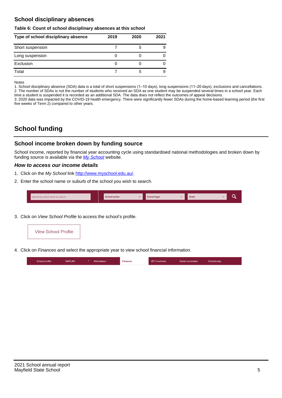### **School disciplinary absences**

### **Table 6: Count of school disciplinary absences at this school**

| Type of school disciplinary absence | 2019 | 2020 | 2021 |
|-------------------------------------|------|------|------|
| Short suspension                    |      | b    | 9    |
| Long suspension                     |      |      |      |
| Exclusion                           |      |      |      |
| Total                               |      | 5    | 9    |

Notes

1. School disciplinary absence (SDA) data is a total of short suspensions (1–10 days), long suspensions (11–20 days), exclusions and cancellations. 2. The number of SDAs is not the number of students who received an SDA as one student may be suspended several times in a school year. Each time a student is suspended it is recorded as an additional SDA. The data does not reflect the outcomes of appeal decisions.

3. 2020 data was impacted by the COVID-19 health emergency. There were significantly fewer SDAs during the home-based learning period (the first five weeks of Term 2) compared to other years.

# **School funding**

### **School income broken down by funding source**

School income, reported by financial year accounting cycle using standardised national methodologies and broken down by funding source is available via the [My School](http://www.myschool.edu.au/) website.

### **How to access our income details**

- 1. Click on the My School link <http://www.myschool.edu.au/>.
- 2. Enter the school name or suburb of the school you wish to search.

|  | Search by school name or suburb |  | <b>School sector</b> |  | $\sim$ and $\sim$ represents the set of $\sim$ | <b>State</b> |  |  |  |
|--|---------------------------------|--|----------------------|--|------------------------------------------------|--------------|--|--|--|
|--|---------------------------------|--|----------------------|--|------------------------------------------------|--------------|--|--|--|

3. Click on View School Profile to access the school's profile.



4. Click on Finances and select the appropriate year to view school financial information.

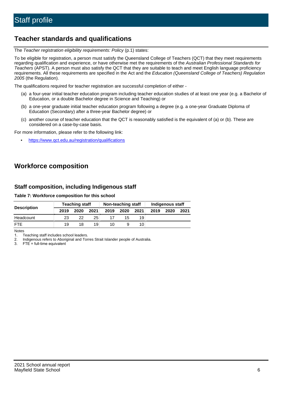# **Teacher standards and qualifications**

The Teacher registration eligibility requirements: Policy (p.1) states:

To be eligible for registration, a person must satisfy the Queensland College of Teachers (QCT) that they meet requirements regarding qualification and experience, or have otherwise met the requirements of the Australian Professional Standards for Teachers (APST). A person must also satisfy the QCT that they are suitable to teach and meet English language proficiency requirements. All these requirements are specified in the Act and the Education (Queensland College of Teachers) Regulation 2005 (the Regulation).

The qualifications required for teacher registration are successful completion of either -

- (a) a four-year initial teacher education program including teacher education studies of at least one year (e.g. a Bachelor of Education, or a double Bachelor degree in Science and Teaching) or
- (b) a one-year graduate initial teacher education program following a degree (e.g. a one-year Graduate Diploma of Education (Secondary) after a three-year Bachelor degree) or
- (c) another course of teacher education that the QCT is reasonably satisfied is the equivalent of (a) or (b). These are considered on a case-by-case basis.

For more information, please refer to the following link:

• <https://www.qct.edu.au/registration/qualifications>

# **Workforce composition**

### **Staff composition, including Indigenous staff**

### **Table 7: Workforce composition for this school**

|                    |      | <b>Teaching staff</b> |      |      | Non-teaching staff |                 |      | Indigenous staff |      |
|--------------------|------|-----------------------|------|------|--------------------|-----------------|------|------------------|------|
| <b>Description</b> | 2019 | 2020                  | 2021 | 2019 | 2020               | 2021            | 2019 | 2020             | 2021 |
| Headcount          | 23   | 22                    | 25   |      | 15                 | 19              |      |                  |      |
| <b>FTE</b>         | 19   | 18                    | 19   | 10   |                    | 10 <sub>1</sub> |      |                  |      |

Notes

1. Teaching staff includes school leaders.

2. Indigenous refers to Aboriginal and Torres Strait Islander people of Australia.

3. FTE = full-time equivalent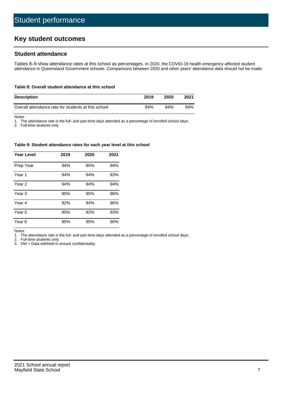# **Key student outcomes**

### **Student attendance**

Tables 8–9 show attendance rates at this school as percentages. In 2020, the COVID-19 health emergency affected student attendance in Queensland Government schools. Comparisons between 2020 and other years' attendance data should not be made.

#### **Table 8: Overall student attendance at this school**

| <b>Description</b>                                  | 2019 | 2020 | 2021 |
|-----------------------------------------------------|------|------|------|
| Overall attendance rate for students at this school | 94%  | 94%  | 94%  |

Notes

1. The attendance rate is the full- and part-time days attended as a percentage of enrolled school days.

2. Full-time students only.

#### **Table 9: Student attendance rates for each year level at this school**

| <b>Year Level</b> | 2019 | 2020 | 2021 |
|-------------------|------|------|------|
| Prep Year         | 94%  | 95%  | 94%  |
| Year <sub>1</sub> | 94%  | 94%  | 93%  |
| Year 2            | 94%  | 94%  | 94%  |
| Year <sub>3</sub> | 95%  | 95%  | 96%  |
| Year 4            | 92%  | 94%  | 96%  |
| Year 5            | 95%  | 92%  | 93%  |
| Year <sub>6</sub> | 95%  | 95%  | 90%  |

Notes

1. The attendance rate is the full- and part-time days attended as a percentage of enrolled school days.

2. Full-time students only.

3. DW = Data withheld to ensure confidentiality